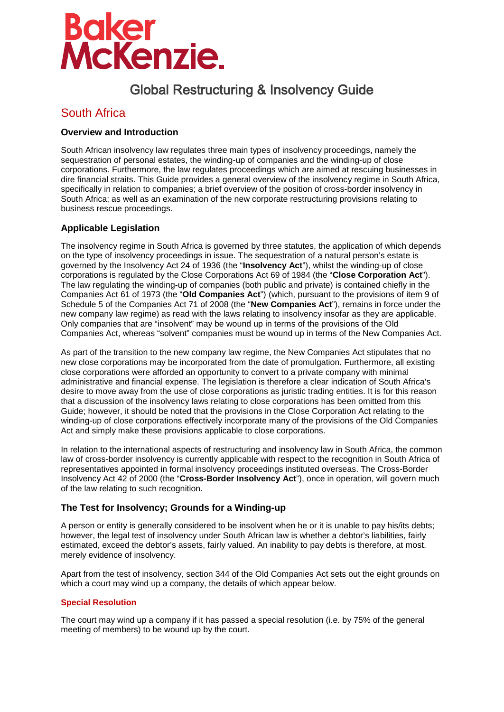# **Baker<br>McKenzie.**

# Global Restructuring & Insolvency Guide

# South Africa

# **Overview and Introduction**

South African insolvency law regulates three main types of insolvency proceedings, namely the sequestration of personal estates, the winding-up of companies and the winding-up of close corporations. Furthermore, the law regulates proceedings which are aimed at rescuing businesses in dire financial straits. This Guide provides a general overview of the insolvency regime in South Africa, specifically in relation to companies; a brief overview of the position of cross-border insolvency in South Africa; as well as an examination of the new corporate restructuring provisions relating to business rescue proceedings.

# **Applicable Legislation**

The insolvency regime in South Africa is governed by three statutes, the application of which depends on the type of insolvency proceedings in issue. The sequestration of a natural person's estate is governed by the Insolvency Act 24 of 1936 (the "**Insolvency Act**"), whilst the winding-up of close corporations is regulated by the Close Corporations Act 69 of 1984 (the "**Close Corporation Act**"). The law regulating the winding-up of companies (both public and private) is contained chiefly in the Companies Act 61 of 1973 (the "**Old Companies Act**") (which, pursuant to the provisions of item 9 of Schedule 5 of the Companies Act 71 of 2008 (the "**New Companies Act**"), remains in force under the new company law regime) as read with the laws relating to insolvency insofar as they are applicable. Only companies that are "insolvent" may be wound up in terms of the provisions of the Old Companies Act, whereas "solvent" companies must be wound up in terms of the New Companies Act.

As part of the transition to the new company law regime, the New Companies Act stipulates that no new close corporations may be incorporated from the date of promulgation. Furthermore, all existing close corporations were afforded an opportunity to convert to a private company with minimal administrative and financial expense. The legislation is therefore a clear indication of South Africa's desire to move away from the use of close corporations as juristic trading entities. It is for this reason that a discussion of the insolvency laws relating to close corporations has been omitted from this Guide; however, it should be noted that the provisions in the Close Corporation Act relating to the winding-up of close corporations effectively incorporate many of the provisions of the Old Companies Act and simply make these provisions applicable to close corporations.

In relation to the international aspects of restructuring and insolvency law in South Africa, the common law of cross-border insolvency is currently applicable with respect to the recognition in South Africa of representatives appointed in formal insolvency proceedings instituted overseas. The Cross-Border Insolvency Act 42 of 2000 (the "**Cross-Border Insolvency Act**"), once in operation, will govern much of the law relating to such recognition.

# **The Test for Insolvency; Grounds for a Winding-up**

A person or entity is generally considered to be insolvent when he or it is unable to pay his/its debts; however, the legal test of insolvency under South African law is whether a debtor's liabilities, fairly estimated, exceed the debtor's assets, fairly valued. An inability to pay debts is therefore, at most, merely evidence of insolvency.

Apart from the test of insolvency, section 344 of the Old Companies Act sets out the eight grounds on which a court may wind up a company, the details of which appear below.

# **Special Resolution**

The court may wind up a company if it has passed a special resolution (i.e. by 75% of the general meeting of members) to be wound up by the court.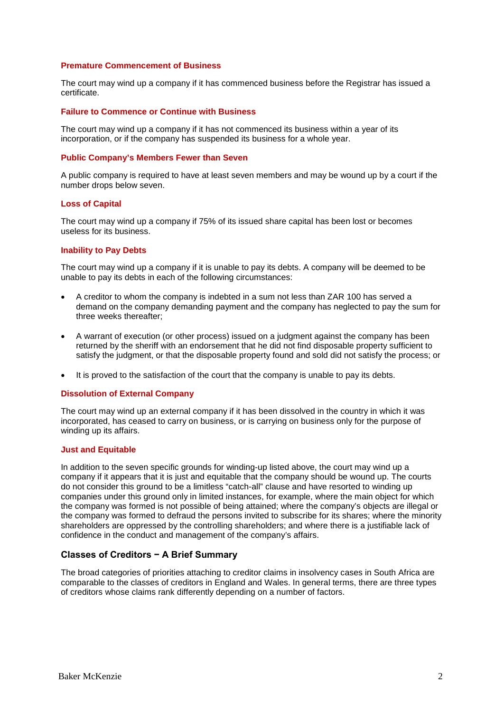#### **Premature Commencement of Business**

The court may wind up a company if it has commenced business before the Registrar has issued a certificate.

#### **Failure to Commence or Continue with Business**

The court may wind up a company if it has not commenced its business within a year of its incorporation, or if the company has suspended its business for a whole year.

#### **Public Company's Members Fewer than Seven**

A public company is required to have at least seven members and may be wound up by a court if the number drops below seven.

#### **Loss of Capital**

The court may wind up a company if 75% of its issued share capital has been lost or becomes useless for its business.

#### **Inability to Pay Debts**

The court may wind up a company if it is unable to pay its debts. A company will be deemed to be unable to pay its debts in each of the following circumstances:

- A creditor to whom the company is indebted in a sum not less than ZAR 100 has served a demand on the company demanding payment and the company has neglected to pay the sum for three weeks thereafter;
- A warrant of execution (or other process) issued on a judgment against the company has been returned by the sheriff with an endorsement that he did not find disposable property sufficient to satisfy the judgment, or that the disposable property found and sold did not satisfy the process; or
- It is proved to the satisfaction of the court that the company is unable to pay its debts.

#### **Dissolution of External Company**

The court may wind up an external company if it has been dissolved in the country in which it was incorporated, has ceased to carry on business, or is carrying on business only for the purpose of winding up its affairs.

#### **Just and Equitable**

In addition to the seven specific grounds for winding-up listed above, the court may wind up a company if it appears that it is just and equitable that the company should be wound up. The courts do not consider this ground to be a limitless "catch-all" clause and have resorted to winding up companies under this ground only in limited instances, for example, where the main object for which the company was formed is not possible of being attained; where the company's objects are illegal or the company was formed to defraud the persons invited to subscribe for its shares; where the minority shareholders are oppressed by the controlling shareholders; and where there is a justifiable lack of confidence in the conduct and management of the company's affairs.

#### **Classes of Creditors − A Brief Summary**

The broad categories of priorities attaching to creditor claims in insolvency cases in South Africa are comparable to the classes of creditors in England and Wales. In general terms, there are three types of creditors whose claims rank differently depending on a number of factors.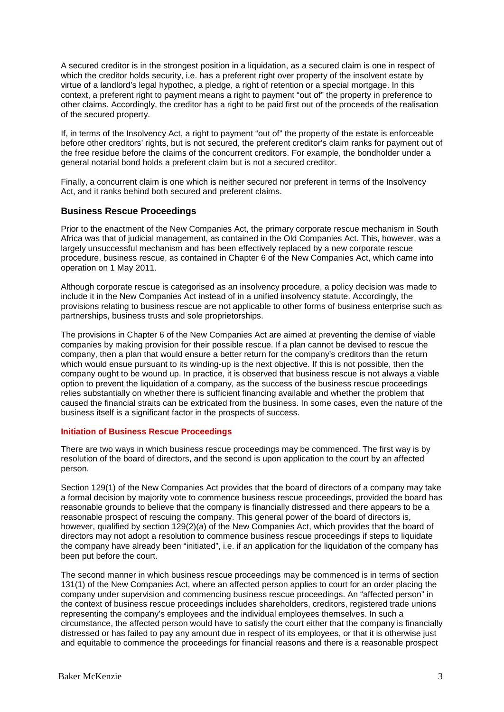A secured creditor is in the strongest position in a liquidation, as a secured claim is one in respect of which the creditor holds security, i.e. has a preferent right over property of the insolvent estate by virtue of a landlord's legal hypothec, a pledge, a right of retention or a special mortgage. In this context, a preferent right to payment means a right to payment "out of" the property in preference to other claims. Accordingly, the creditor has a right to be paid first out of the proceeds of the realisation of the secured property.

If, in terms of the Insolvency Act, a right to payment "out of" the property of the estate is enforceable before other creditors' rights, but is not secured, the preferent creditor's claim ranks for payment out of the free residue before the claims of the concurrent creditors. For example, the bondholder under a general notarial bond holds a preferent claim but is not a secured creditor.

Finally, a concurrent claim is one which is neither secured nor preferent in terms of the Insolvency Act, and it ranks behind both secured and preferent claims.

#### **Business Rescue Proceedings**

Prior to the enactment of the New Companies Act, the primary corporate rescue mechanism in South Africa was that of judicial management, as contained in the Old Companies Act. This, however, was a largely unsuccessful mechanism and has been effectively replaced by a new corporate rescue procedure, business rescue, as contained in Chapter 6 of the New Companies Act, which came into operation on 1 May 2011.

Although corporate rescue is categorised as an insolvency procedure, a policy decision was made to include it in the New Companies Act instead of in a unified insolvency statute. Accordingly, the provisions relating to business rescue are not applicable to other forms of business enterprise such as partnerships, business trusts and sole proprietorships.

The provisions in Chapter 6 of the New Companies Act are aimed at preventing the demise of viable companies by making provision for their possible rescue. If a plan cannot be devised to rescue the company, then a plan that would ensure a better return for the company's creditors than the return which would ensue pursuant to its winding-up is the next objective. If this is not possible, then the company ought to be wound up. In practice, it is observed that business rescue is not always a viable option to prevent the liquidation of a company, as the success of the business rescue proceedings relies substantially on whether there is sufficient financing available and whether the problem that caused the financial straits can be extricated from the business. In some cases, even the nature of the business itself is a significant factor in the prospects of success.

#### **Initiation of Business Rescue Proceedings**

There are two ways in which business rescue proceedings may be commenced. The first way is by resolution of the board of directors, and the second is upon application to the court by an affected person.

Section 129(1) of the New Companies Act provides that the board of directors of a company may take a formal decision by majority vote to commence business rescue proceedings, provided the board has reasonable grounds to believe that the company is financially distressed and there appears to be a reasonable prospect of rescuing the company. This general power of the board of directors is, however, qualified by section 129(2)(a) of the New Companies Act, which provides that the board of directors may not adopt a resolution to commence business rescue proceedings if steps to liquidate the company have already been "initiated", i.e. if an application for the liquidation of the company has been put before the court.

The second manner in which business rescue proceedings may be commenced is in terms of section 131(1) of the New Companies Act, where an affected person applies to court for an order placing the company under supervision and commencing business rescue proceedings. An "affected person" in the context of business rescue proceedings includes shareholders, creditors, registered trade unions representing the company's employees and the individual employees themselves. In such a circumstance, the affected person would have to satisfy the court either that the company is financially distressed or has failed to pay any amount due in respect of its employees, or that it is otherwise just and equitable to commence the proceedings for financial reasons and there is a reasonable prospect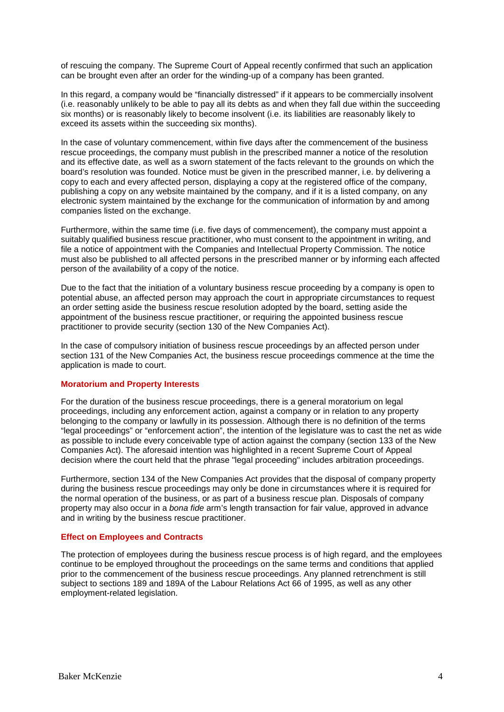of rescuing the company. The Supreme Court of Appeal recently confirmed that such an application can be brought even after an order for the winding-up of a company has been granted.

In this regard, a company would be "financially distressed" if it appears to be commercially insolvent (i.e. reasonably unlikely to be able to pay all its debts as and when they fall due within the succeeding six months) or is reasonably likely to become insolvent (i.e. its liabilities are reasonably likely to exceed its assets within the succeeding six months).

In the case of voluntary commencement, within five days after the commencement of the business rescue proceedings, the company must publish in the prescribed manner a notice of the resolution and its effective date, as well as a sworn statement of the facts relevant to the grounds on which the board's resolution was founded. Notice must be given in the prescribed manner, i.e. by delivering a copy to each and every affected person, displaying a copy at the registered office of the company, publishing a copy on any website maintained by the company, and if it is a listed company, on any electronic system maintained by the exchange for the communication of information by and among companies listed on the exchange.

Furthermore, within the same time (i.e. five days of commencement), the company must appoint a suitably qualified business rescue practitioner, who must consent to the appointment in writing, and file a notice of appointment with the Companies and Intellectual Property Commission. The notice must also be published to all affected persons in the prescribed manner or by informing each affected person of the availability of a copy of the notice.

Due to the fact that the initiation of a voluntary business rescue proceeding by a company is open to potential abuse, an affected person may approach the court in appropriate circumstances to request an order setting aside the business rescue resolution adopted by the board, setting aside the appointment of the business rescue practitioner, or requiring the appointed business rescue practitioner to provide security (section 130 of the New Companies Act).

In the case of compulsory initiation of business rescue proceedings by an affected person under section 131 of the New Companies Act, the business rescue proceedings commence at the time the application is made to court.

#### **Moratorium and Property Interests**

For the duration of the business rescue proceedings, there is a general moratorium on legal proceedings, including any enforcement action, against a company or in relation to any property belonging to the company or lawfully in its possession. Although there is no definition of the terms "legal proceedings" or "enforcement action", the intention of the legislature was to cast the net as wide as possible to include every conceivable type of action against the company (section 133 of the New Companies Act). The aforesaid intention was highlighted in a recent Supreme Court of Appeal decision where the court held that the phrase "legal proceeding" includes arbitration proceedings.

Furthermore, section 134 of the New Companies Act provides that the disposal of company property during the business rescue proceedings may only be done in circumstances where it is required for the normal operation of the business, or as part of a business rescue plan. Disposals of company property may also occur in a *bona fide* arm's length transaction for fair value, approved in advance and in writing by the business rescue practitioner.

#### **Effect on Employees and Contracts**

The protection of employees during the business rescue process is of high regard, and the employees continue to be employed throughout the proceedings on the same terms and conditions that applied prior to the commencement of the business rescue proceedings. Any planned retrenchment is still subject to sections 189 and 189A of the Labour Relations Act 66 of 1995, as well as any other employment-related legislation.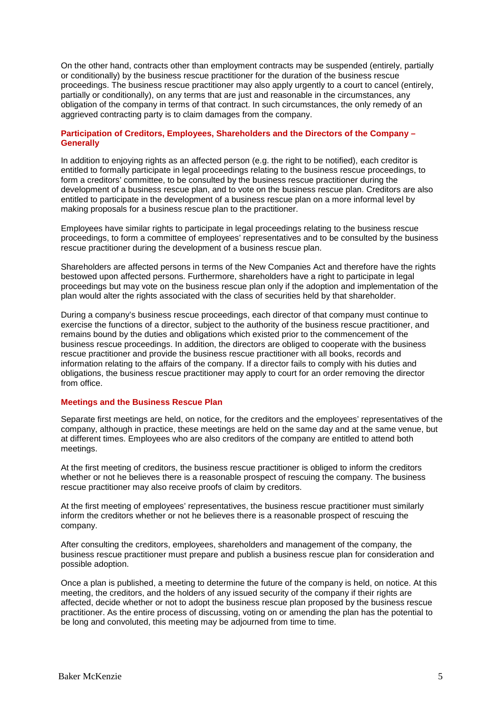On the other hand, contracts other than employment contracts may be suspended (entirely, partially or conditionally) by the business rescue practitioner for the duration of the business rescue proceedings. The business rescue practitioner may also apply urgently to a court to cancel (entirely, partially or conditionally), on any terms that are just and reasonable in the circumstances, any obligation of the company in terms of that contract. In such circumstances, the only remedy of an aggrieved contracting party is to claim damages from the company.

#### **Participation of Creditors, Employees, Shareholders and the Directors of the Company – Generally**

In addition to enjoying rights as an affected person (e.g. the right to be notified), each creditor is entitled to formally participate in legal proceedings relating to the business rescue proceedings, to form a creditors' committee, to be consulted by the business rescue practitioner during the development of a business rescue plan, and to vote on the business rescue plan. Creditors are also entitled to participate in the development of a business rescue plan on a more informal level by making proposals for a business rescue plan to the practitioner.

Employees have similar rights to participate in legal proceedings relating to the business rescue proceedings, to form a committee of employees' representatives and to be consulted by the business rescue practitioner during the development of a business rescue plan.

Shareholders are affected persons in terms of the New Companies Act and therefore have the rights bestowed upon affected persons. Furthermore, shareholders have a right to participate in legal proceedings but may vote on the business rescue plan only if the adoption and implementation of the plan would alter the rights associated with the class of securities held by that shareholder.

During a company's business rescue proceedings, each director of that company must continue to exercise the functions of a director, subject to the authority of the business rescue practitioner, and remains bound by the duties and obligations which existed prior to the commencement of the business rescue proceedings. In addition, the directors are obliged to cooperate with the business rescue practitioner and provide the business rescue practitioner with all books, records and information relating to the affairs of the company. If a director fails to comply with his duties and obligations, the business rescue practitioner may apply to court for an order removing the director from office.

#### **Meetings and the Business Rescue Plan**

Separate first meetings are held, on notice, for the creditors and the employees' representatives of the company, although in practice, these meetings are held on the same day and at the same venue, but at different times. Employees who are also creditors of the company are entitled to attend both meetings.

At the first meeting of creditors, the business rescue practitioner is obliged to inform the creditors whether or not he believes there is a reasonable prospect of rescuing the company. The business rescue practitioner may also receive proofs of claim by creditors.

At the first meeting of employees' representatives, the business rescue practitioner must similarly inform the creditors whether or not he believes there is a reasonable prospect of rescuing the company.

After consulting the creditors, employees, shareholders and management of the company, the business rescue practitioner must prepare and publish a business rescue plan for consideration and possible adoption.

Once a plan is published, a meeting to determine the future of the company is held, on notice. At this meeting, the creditors, and the holders of any issued security of the company if their rights are affected, decide whether or not to adopt the business rescue plan proposed by the business rescue practitioner. As the entire process of discussing, voting on or amending the plan has the potential to be long and convoluted, this meeting may be adjourned from time to time.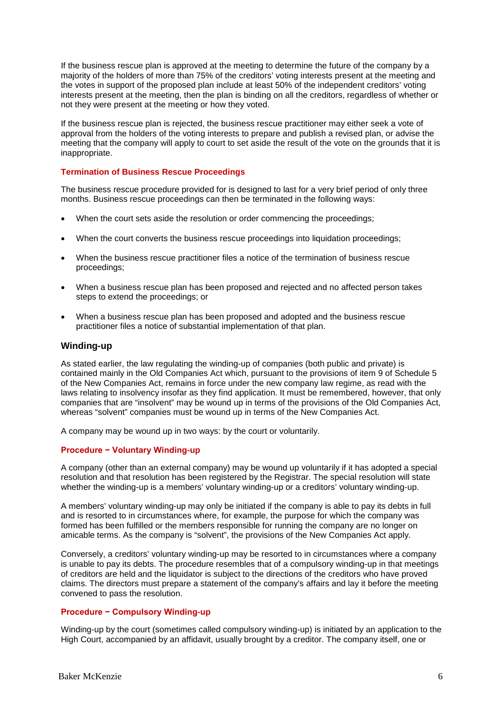If the business rescue plan is approved at the meeting to determine the future of the company by a majority of the holders of more than 75% of the creditors' voting interests present at the meeting and the votes in support of the proposed plan include at least 50% of the independent creditors' voting interests present at the meeting, then the plan is binding on all the creditors, regardless of whether or not they were present at the meeting or how they voted.

If the business rescue plan is rejected, the business rescue practitioner may either seek a vote of approval from the holders of the voting interests to prepare and publish a revised plan, or advise the meeting that the company will apply to court to set aside the result of the vote on the grounds that it is inappropriate.

#### **Termination of Business Rescue Proceedings**

The business rescue procedure provided for is designed to last for a very brief period of only three months. Business rescue proceedings can then be terminated in the following ways:

- When the court sets aside the resolution or order commencing the proceedings;
- When the court converts the business rescue proceedings into liquidation proceedings;
- When the business rescue practitioner files a notice of the termination of business rescue proceedings;
- When a business rescue plan has been proposed and rejected and no affected person takes steps to extend the proceedings; or
- When a business rescue plan has been proposed and adopted and the business rescue practitioner files a notice of substantial implementation of that plan.

#### **Winding-up**

As stated earlier, the law regulating the winding-up of companies (both public and private) is contained mainly in the Old Companies Act which, pursuant to the provisions of item 9 of Schedule 5 of the New Companies Act, remains in force under the new company law regime, as read with the laws relating to insolvency insofar as they find application. It must be remembered, however, that only companies that are "insolvent" may be wound up in terms of the provisions of the Old Companies Act, whereas "solvent" companies must be wound up in terms of the New Companies Act.

A company may be wound up in two ways: by the court or voluntarily.

#### **Procedure − Voluntary Winding-up**

A company (other than an external company) may be wound up voluntarily if it has adopted a special resolution and that resolution has been registered by the Registrar. The special resolution will state whether the winding-up is a members' voluntary winding-up or a creditors' voluntary winding-up.

A members' voluntary winding-up may only be initiated if the company is able to pay its debts in full and is resorted to in circumstances where, for example, the purpose for which the company was formed has been fulfilled or the members responsible for running the company are no longer on amicable terms. As the company is "solvent", the provisions of the New Companies Act apply.

Conversely, a creditors' voluntary winding-up may be resorted to in circumstances where a company is unable to pay its debts. The procedure resembles that of a compulsory winding-up in that meetings of creditors are held and the liquidator is subject to the directions of the creditors who have proved claims. The directors must prepare a statement of the company's affairs and lay it before the meeting convened to pass the resolution.

#### **Procedure − Compulsory Winding-up**

Winding-up by the court (sometimes called compulsory winding-up) is initiated by an application to the High Court, accompanied by an affidavit, usually brought by a creditor. The company itself, one or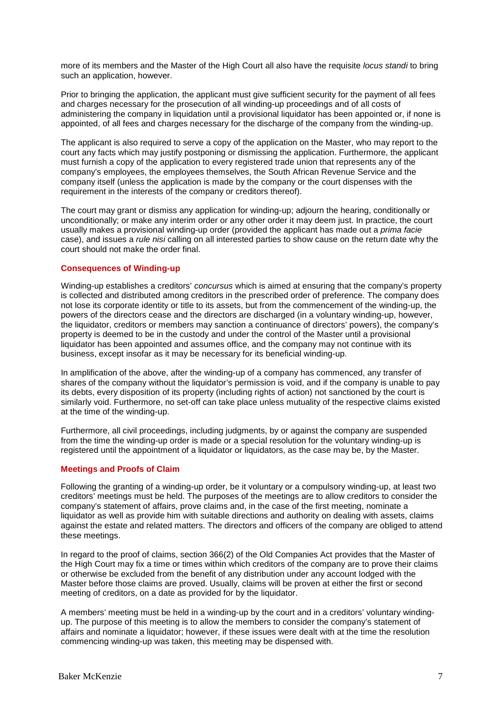more of its members and the Master of the High Court all also have the requisite *locus standi* to bring such an application, however.

Prior to bringing the application, the applicant must give sufficient security for the payment of all fees and charges necessary for the prosecution of all winding-up proceedings and of all costs of administering the company in liquidation until a provisional liquidator has been appointed or, if none is appointed, of all fees and charges necessary for the discharge of the company from the winding-up.

The applicant is also required to serve a copy of the application on the Master, who may report to the court any facts which may justify postponing or dismissing the application. Furthermore, the applicant must furnish a copy of the application to every registered trade union that represents any of the company's employees, the employees themselves, the South African Revenue Service and the company itself (unless the application is made by the company or the court dispenses with the requirement in the interests of the company or creditors thereof).

The court may grant or dismiss any application for winding-up; adjourn the hearing, conditionally or unconditionally; or make any interim order or any other order it may deem just. In practice, the court usually makes a provisional winding-up order (provided the applicant has made out a *prima facie*  case), and issues a *rule nisi* calling on all interested parties to show cause on the return date why the court should not make the order final.

#### **Consequences of Winding-up**

Winding-up establishes a creditors' *concursus* which is aimed at ensuring that the company's property is collected and distributed among creditors in the prescribed order of preference. The company does not lose its corporate identity or title to its assets, but from the commencement of the winding-up, the powers of the directors cease and the directors are discharged (in a voluntary winding-up, however, the liquidator, creditors or members may sanction a continuance of directors' powers), the company's property is deemed to be in the custody and under the control of the Master until a provisional liquidator has been appointed and assumes office, and the company may not continue with its business, except insofar as it may be necessary for its beneficial winding-up.

In amplification of the above, after the winding-up of a company has commenced, any transfer of shares of the company without the liquidator's permission is void, and if the company is unable to pay its debts, every disposition of its property (including rights of action) not sanctioned by the court is similarly void. Furthermore, no set-off can take place unless mutuality of the respective claims existed at the time of the winding-up.

Furthermore, all civil proceedings, including judgments, by or against the company are suspended from the time the winding-up order is made or a special resolution for the voluntary winding-up is registered until the appointment of a liquidator or liquidators, as the case may be, by the Master.

#### **Meetings and Proofs of Claim**

Following the granting of a winding-up order, be it voluntary or a compulsory winding-up, at least two creditors' meetings must be held. The purposes of the meetings are to allow creditors to consider the company's statement of affairs, prove claims and, in the case of the first meeting, nominate a liquidator as well as provide him with suitable directions and authority on dealing with assets, claims against the estate and related matters. The directors and officers of the company are obliged to attend these meetings.

In regard to the proof of claims, section 366(2) of the Old Companies Act provides that the Master of the High Court may fix a time or times within which creditors of the company are to prove their claims or otherwise be excluded from the benefit of any distribution under any account lodged with the Master before those claims are proved. Usually, claims will be proven at either the first or second meeting of creditors, on a date as provided for by the liquidator.

A members' meeting must be held in a winding-up by the court and in a creditors' voluntary windingup. The purpose of this meeting is to allow the members to consider the company's statement of affairs and nominate a liquidator; however, if these issues were dealt with at the time the resolution commencing winding-up was taken, this meeting may be dispensed with.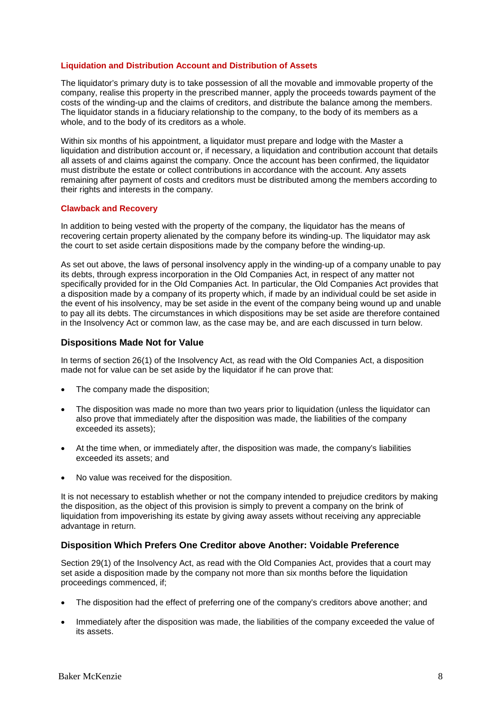#### **Liquidation and Distribution Account and Distribution of Assets**

The liquidator's primary duty is to take possession of all the movable and immovable property of the company, realise this property in the prescribed manner, apply the proceeds towards payment of the costs of the winding-up and the claims of creditors, and distribute the balance among the members. The liquidator stands in a fiduciary relationship to the company, to the body of its members as a whole, and to the body of its creditors as a whole.

Within six months of his appointment, a liquidator must prepare and lodge with the Master a liquidation and distribution account or, if necessary, a liquidation and contribution account that details all assets of and claims against the company. Once the account has been confirmed, the liquidator must distribute the estate or collect contributions in accordance with the account. Any assets remaining after payment of costs and creditors must be distributed among the members according to their rights and interests in the company.

#### **Clawback and Recovery**

In addition to being vested with the property of the company, the liquidator has the means of recovering certain property alienated by the company before its winding-up. The liquidator may ask the court to set aside certain dispositions made by the company before the winding-up.

As set out above, the laws of personal insolvency apply in the winding-up of a company unable to pay its debts, through express incorporation in the Old Companies Act, in respect of any matter not specifically provided for in the Old Companies Act. In particular, the Old Companies Act provides that a disposition made by a company of its property which, if made by an individual could be set aside in the event of his insolvency, may be set aside in the event of the company being wound up and unable to pay all its debts. The circumstances in which dispositions may be set aside are therefore contained in the Insolvency Act or common law, as the case may be, and are each discussed in turn below.

#### **Dispositions Made Not for Value**

In terms of section 26(1) of the Insolvency Act, as read with the Old Companies Act, a disposition made not for value can be set aside by the liquidator if he can prove that:

- The company made the disposition;
- The disposition was made no more than two years prior to liquidation (unless the liquidator can also prove that immediately after the disposition was made, the liabilities of the company exceeded its assets);
- At the time when, or immediately after, the disposition was made, the company's liabilities exceeded its assets; and
- No value was received for the disposition.

It is not necessary to establish whether or not the company intended to prejudice creditors by making the disposition, as the object of this provision is simply to prevent a company on the brink of liquidation from impoverishing its estate by giving away assets without receiving any appreciable advantage in return.

#### **Disposition Which Prefers One Creditor above Another: Voidable Preference**

Section 29(1) of the Insolvency Act, as read with the Old Companies Act, provides that a court may set aside a disposition made by the company not more than six months before the liquidation proceedings commenced, if;

- The disposition had the effect of preferring one of the company's creditors above another; and
- Immediately after the disposition was made, the liabilities of the company exceeded the value of its assets.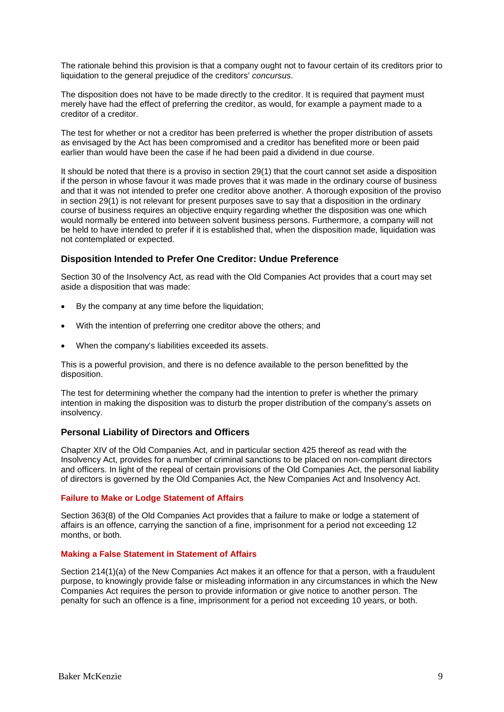The rationale behind this provision is that a company ought not to favour certain of its creditors prior to liquidation to the general prejudice of the creditors' *concursus*.

The disposition does not have to be made directly to the creditor. It is required that payment must merely have had the effect of preferring the creditor, as would, for example a payment made to a creditor of a creditor.

The test for whether or not a creditor has been preferred is whether the proper distribution of assets as envisaged by the Act has been compromised and a creditor has benefited more or been paid earlier than would have been the case if he had been paid a dividend in due course.

It should be noted that there is a proviso in section 29(1) that the court cannot set aside a disposition if the person in whose favour it was made proves that it was made in the ordinary course of business and that it was not intended to prefer one creditor above another. A thorough exposition of the proviso in section 29(1) is not relevant for present purposes save to say that a disposition in the ordinary course of business requires an objective enquiry regarding whether the disposition was one which would normally be entered into between solvent business persons. Furthermore, a company will not be held to have intended to prefer if it is established that, when the disposition made, liquidation was not contemplated or expected.

#### **Disposition Intended to Prefer One Creditor: Undue Preference**

Section 30 of the Insolvency Act, as read with the Old Companies Act provides that a court may set aside a disposition that was made:

- By the company at any time before the liquidation;
- With the intention of preferring one creditor above the others; and
- When the company's liabilities exceeded its assets.

This is a powerful provision, and there is no defence available to the person benefitted by the disposition.

The test for determining whether the company had the intention to prefer is whether the primary intention in making the disposition was to disturb the proper distribution of the company's assets on insolvency.

#### **Personal Liability of Directors and Officers**

Chapter XIV of the Old Companies Act, and in particular section 425 thereof as read with the Insolvency Act, provides for a number of criminal sanctions to be placed on non-compliant directors and officers. In light of the repeal of certain provisions of the Old Companies Act, the personal liability of directors is governed by the Old Companies Act, the New Companies Act and Insolvency Act.

#### **Failure to Make or Lodge Statement of Affairs**

Section 363(8) of the Old Companies Act provides that a failure to make or lodge a statement of affairs is an offence, carrying the sanction of a fine, imprisonment for a period not exceeding 12 months, or both.

#### **Making a False Statement in Statement of Affairs**

Section 214(1)(a) of the New Companies Act makes it an offence for that a person, with a fraudulent purpose, to knowingly provide false or misleading information in any circumstances in which the New Companies Act requires the person to provide information or give notice to another person. The penalty for such an offence is a fine, imprisonment for a period not exceeding 10 years, or both.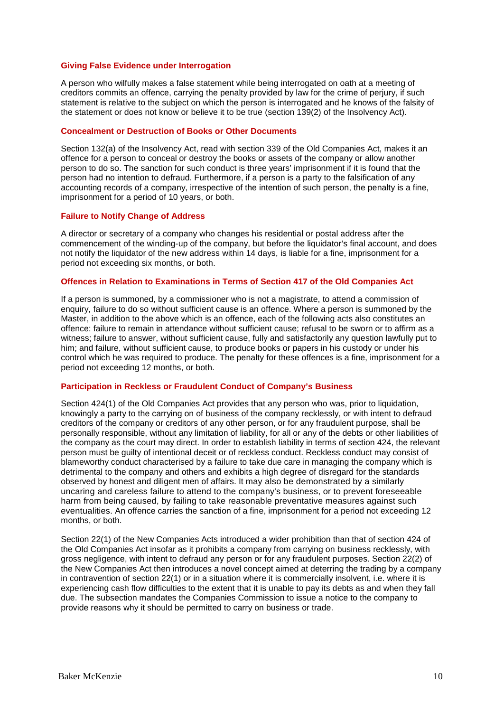#### **Giving False Evidence under Interrogation**

A person who wilfully makes a false statement while being interrogated on oath at a meeting of creditors commits an offence, carrying the penalty provided by law for the crime of perjury, if such statement is relative to the subject on which the person is interrogated and he knows of the falsity of the statement or does not know or believe it to be true (section 139(2) of the Insolvency Act).

#### **Concealment or Destruction of Books or Other Documents**

Section 132(a) of the Insolvency Act, read with section 339 of the Old Companies Act, makes it an offence for a person to conceal or destroy the books or assets of the company or allow another person to do so. The sanction for such conduct is three years' imprisonment if it is found that the person had no intention to defraud. Furthermore, if a person is a party to the falsification of any accounting records of a company, irrespective of the intention of such person, the penalty is a fine, imprisonment for a period of 10 years, or both.

#### **Failure to Notify Change of Address**

A director or secretary of a company who changes his residential or postal address after the commencement of the winding-up of the company, but before the liquidator's final account, and does not notify the liquidator of the new address within 14 days, is liable for a fine, imprisonment for a period not exceeding six months, or both.

#### **Offences in Relation to Examinations in Terms of Section 417 of the Old Companies Act**

If a person is summoned, by a commissioner who is not a magistrate, to attend a commission of enquiry, failure to do so without sufficient cause is an offence. Where a person is summoned by the Master, in addition to the above which is an offence, each of the following acts also constitutes an offence: failure to remain in attendance without sufficient cause; refusal to be sworn or to affirm as a witness; failure to answer, without sufficient cause, fully and satisfactorily any question lawfully put to him; and failure, without sufficient cause, to produce books or papers in his custody or under his control which he was required to produce. The penalty for these offences is a fine, imprisonment for a period not exceeding 12 months, or both.

#### **Participation in Reckless or Fraudulent Conduct of Company's Business**

Section 424(1) of the Old Companies Act provides that any person who was, prior to liquidation, knowingly a party to the carrying on of business of the company recklessly, or with intent to defraud creditors of the company or creditors of any other person, or for any fraudulent purpose, shall be personally responsible, without any limitation of liability, for all or any of the debts or other liabilities of the company as the court may direct. In order to establish liability in terms of section 424, the relevant person must be guilty of intentional deceit or of reckless conduct. Reckless conduct may consist of blameworthy conduct characterised by a failure to take due care in managing the company which is detrimental to the company and others and exhibits a high degree of disregard for the standards observed by honest and diligent men of affairs. It may also be demonstrated by a similarly uncaring and careless failure to attend to the company's business, or to prevent foreseeable harm from being caused, by failing to take reasonable preventative measures against such eventualities. An offence carries the sanction of a fine, imprisonment for a period not exceeding 12 months, or both.

Section 22(1) of the New Companies Acts introduced a wider prohibition than that of section 424 of the Old Companies Act insofar as it prohibits a company from carrying on business recklessly, with gross negligence, with intent to defraud any person or for any fraudulent purposes. Section 22(2) of the New Companies Act then introduces a novel concept aimed at deterring the trading by a company in contravention of section 22(1) or in a situation where it is commercially insolvent, i.e. where it is experiencing cash flow difficulties to the extent that it is unable to pay its debts as and when they fall due. The subsection mandates the Companies Commission to issue a notice to the company to provide reasons why it should be permitted to carry on business or trade.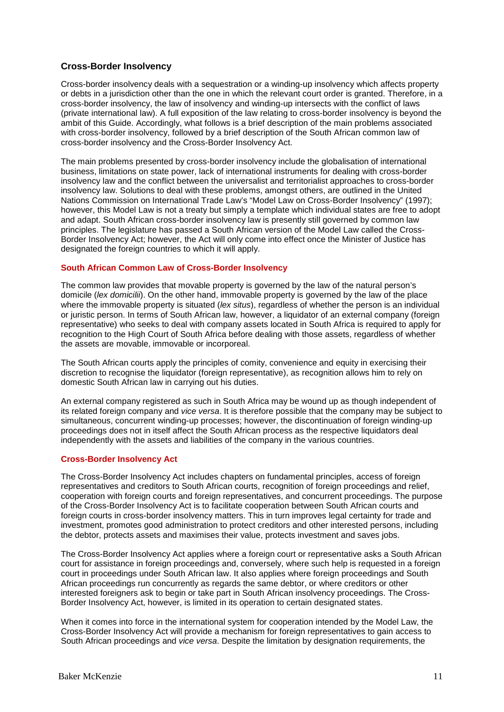## **Cross-Border Insolvency**

Cross-border insolvency deals with a sequestration or a winding-up insolvency which affects property or debts in a jurisdiction other than the one in which the relevant court order is granted. Therefore, in a cross-border insolvency, the law of insolvency and winding-up intersects with the conflict of laws (private international law). A full exposition of the law relating to cross-border insolvency is beyond the ambit of this Guide. Accordingly, what follows is a brief description of the main problems associated with cross-border insolvency, followed by a brief description of the South African common law of cross-border insolvency and the Cross-Border Insolvency Act.

The main problems presented by cross-border insolvency include the globalisation of international business, limitations on state power, lack of international instruments for dealing with cross-border insolvency law and the conflict between the universalist and territorialist approaches to cross-border insolvency law. Solutions to deal with these problems, amongst others, are outlined in the United Nations Commission on International Trade Law's "Model Law on Cross-Border Insolvency" (1997); however, this Model Law is not a treaty but simply a template which individual states are free to adopt and adapt. South African cross-border insolvency law is presently still governed by common law principles. The legislature has passed a South African version of the Model Law called the Cross-Border Insolvency Act; however, the Act will only come into effect once the Minister of Justice has designated the foreign countries to which it will apply.

#### **South African Common Law of Cross-Border Insolvency**

The common law provides that movable property is governed by the law of the natural person's domicile (*lex domicilii*). On the other hand, immovable property is governed by the law of the place where the immovable property is situated (*lex situs*), regardless of whether the person is an individual or juristic person. In terms of South African law, however, a liquidator of an external company (foreign representative) who seeks to deal with company assets located in South Africa is required to apply for recognition to the High Court of South Africa before dealing with those assets, regardless of whether the assets are movable, immovable or incorporeal.

The South African courts apply the principles of comity, convenience and equity in exercising their discretion to recognise the liquidator (foreign representative), as recognition allows him to rely on domestic South African law in carrying out his duties.

An external company registered as such in South Africa may be wound up as though independent of its related foreign company and *vice versa*. It is therefore possible that the company may be subject to simultaneous, concurrent winding-up processes; however, the discontinuation of foreign winding-up proceedings does not in itself affect the South African process as the respective liquidators deal independently with the assets and liabilities of the company in the various countries.

#### **Cross-Border Insolvency Act**

The Cross-Border Insolvency Act includes chapters on fundamental principles, access of foreign representatives and creditors to South African courts, recognition of foreign proceedings and relief, cooperation with foreign courts and foreign representatives, and concurrent proceedings. The purpose of the Cross-Border Insolvency Act is to facilitate cooperation between South African courts and foreign courts in cross-border insolvency matters. This in turn improves legal certainty for trade and investment, promotes good administration to protect creditors and other interested persons, including the debtor, protects assets and maximises their value, protects investment and saves jobs.

The Cross-Border Insolvency Act applies where a foreign court or representative asks a South African court for assistance in foreign proceedings and, conversely, where such help is requested in a foreign court in proceedings under South African law. It also applies where foreign proceedings and South African proceedings run concurrently as regards the same debtor, or where creditors or other interested foreigners ask to begin or take part in South African insolvency proceedings. The Cross-Border Insolvency Act, however, is limited in its operation to certain designated states.

When it comes into force in the international system for cooperation intended by the Model Law, the Cross-Border Insolvency Act will provide a mechanism for foreign representatives to gain access to South African proceedings and *vice versa*. Despite the limitation by designation requirements, the